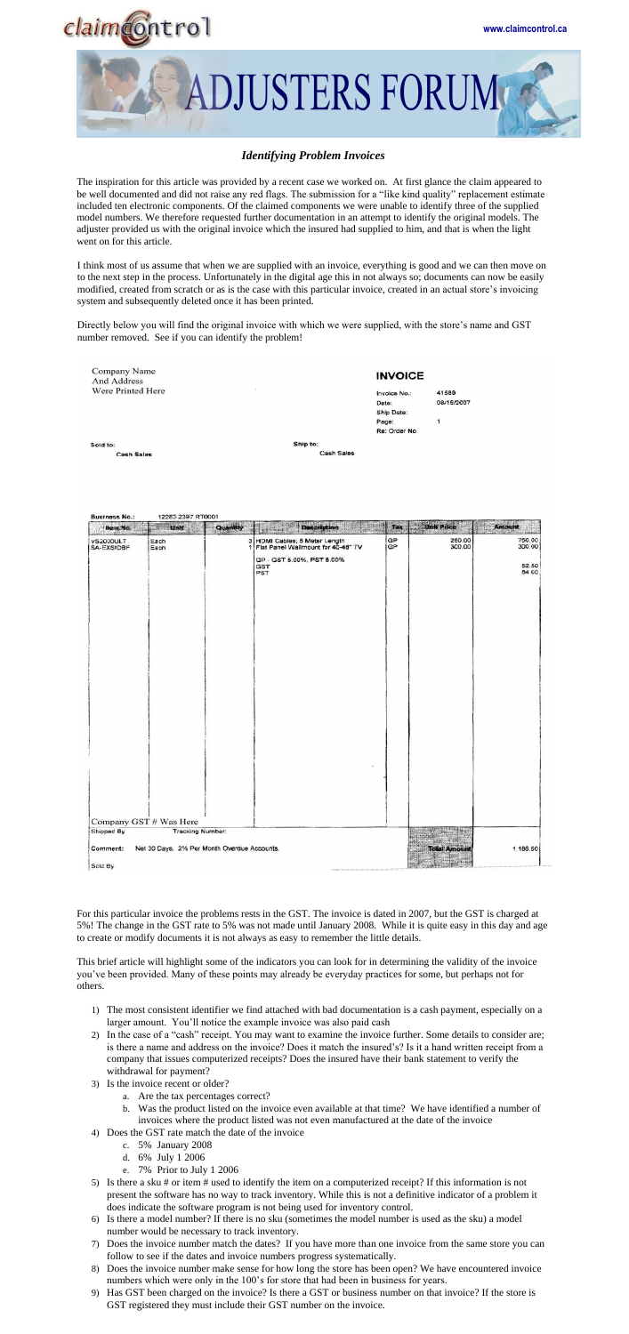

**DJUSTERS FORUM** 

## *Identifying Problem Invoices*

The inspiration for this article was provided by a recent case we worked on. At first glance the claim appeared to be well documented and did not raise any red flags. The submission for a "like kind quality" replacement estimate included ten electronic components. Of the claimed components we were unable to identify three of the supplied model numbers. We therefore requested further documentation in an attempt to identify the original models. The adjuster provided us with the original invoice which the insured had supplied to him, and that is when the light went on for this article.

I think most of us assume that when we are supplied with an invoice, everything is good and we can then move on to the next step in the process. Unfortunately in the digital age this in not always so; documents can now be easily modified, created from scratch or as is the case with this particular invoice, created in an actual store's invoicing system and subsequently deleted once it has been printed.

Directly below you will find the original invoice with which we were supplied, with the store's name and GST number removed. See if you can identify the problem!

| Company Name<br>And Address |    |            | <b>INVOICE</b> |              |  |
|-----------------------------|----|------------|----------------|--------------|--|
| Were Printed Here           | 85 |            | Invoice No.:   | 41589        |  |
|                             |    |            | Date:          | 08/15/2007   |  |
|                             |    |            | Ship Date:     |              |  |
|                             |    |            | Page:          | $\mathbf{1}$ |  |
|                             |    |            | Re: Order No.  |              |  |
| Sold to:                    |    | Ship to:   |                |              |  |
| <b>Cash Sales</b>           |    | Cash Sales |                |              |  |

| Item No.                | <b>Lunit</b> | Quantity | Description<br>$\frac{d\hat{H}_{\text{max}}}{d\hat{H}_{\text{max}}}$ | Tax      | <b>Unit Price</b> | Amount                |
|-------------------------|--------------|----------|----------------------------------------------------------------------|----------|-------------------|-----------------------|
| VS2000ULT<br>SA-EXSIDBF | Each<br>Each | ٠        | 3 HDMI Cables; 5 Meter Length<br>Flat Panel Wallmount for 40-48" TV  | GP<br>GP | 250.00<br>300.00  | 750.00<br>300.00      |
|                         |              |          | GP - GST 5.00%, PST 8.00%<br>GST<br>PST                              |          |                   | 52.50<br><b>84 CO</b> |
|                         |              |          |                                                                      |          |                   |                       |
|                         |              |          |                                                                      |          |                   |                       |
|                         |              |          |                                                                      |          |                   |                       |
|                         |              |          |                                                                      |          |                   |                       |
|                         |              |          |                                                                      |          |                   |                       |
|                         |              |          |                                                                      |          |                   |                       |

12283 2397 RT0001 **Business No.:** 

|                                                                 | $\sim$ |                     |          |
|-----------------------------------------------------------------|--------|---------------------|----------|
|                                                                 |        |                     |          |
| Company GST # Was Here<br><b>Tracking Number:</b><br>Shipped By |        |                     |          |
| Net 30 Days. 2% Per Month Overdue Accounts.<br>Comment:         |        | <b>Total Amount</b> | 1.186.50 |
| Sold By                                                         |        |                     |          |

For this particular invoice the problems rests in the GST. The invoice is dated in 2007, but the GST is charged at 5%! The change in the GST rate to 5% was not made until January 2008. While it is quite easy in this day and age to create or modify documents it is not always as easy to remember the little details.

This brief article will highlight some of the indicators you can look for in determining the validity of the invoice you've been provided. Many of these points may already be everyday practices for some, but perhaps not for others.

- 1) The most consistent identifier we find attached with bad documentation is a cash payment, especially on a larger amount. You'll notice the example invoice was also paid cash
- 2) In the case of a "cash" receipt. You may want to examine the invoice further. Some details to consider are; is there a name and address on the invoice? Does it match the insured's? Is it a hand written receipt from a company that issues computerized receipts? Does the insured have their bank statement to verify the withdrawal for payment?
- 3) Is the invoice recent or older?
	- a. Are the tax percentages correct?
	- b. Was the product listed on the invoice even available at that time? We have identified a number of invoices where the product listed was not even manufactured at the date of the invoice
- 4) Does the GST rate match the date of the invoice
	- c. 5% January 2008
	- d. 6% July 1 2006
	- e. 7% Prior to July 1 2006
- 5) Is there a sku # or item # used to identify the item on a computerized receipt? If this information is not present the software has no way to track inventory. While this is not a definitive indicator of a problem it does indicate the software program is not being used for inventory control.
- 6) Is there a model number? If there is no sku (sometimes the model number is used as the sku) a model number would be necessary to track inventory.
- 7) Does the invoice number match the dates? If you have more than one invoice from the same store you can follow to see if the dates and invoice numbers progress systematically.
- 8) Does the invoice number make sense for how long the store has been open? We have encountered invoice numbers which were only in the 100's for store that had been in business for years.
- 9) Has GST been charged on the invoice? Is there a GST or business number on that invoice? If the store is GST registered they must include their GST number on the invoice.